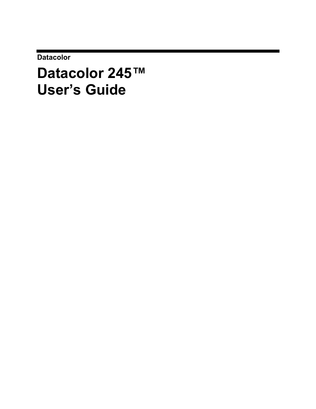**Datacolor** 

## **Datacolor 245™ User's Guide**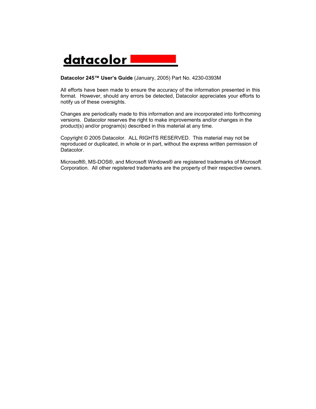

**Datacolor 245™ User's Guide** (January, 2005) Part No. 4230-0393M

All efforts have been made to ensure the accuracy of the information presented in this format. However, should any errors be detected, Datacolor appreciates your efforts to notify us of these oversights.

Changes are periodically made to this information and are incorporated into forthcoming versions. Datacolor reserves the right to make improvements and/or changes in the product(s) and/or program(s) described in this material at any time.

Copyright © 2005 Datacolor. ALL RIGHTS RESERVED. This material may not be reproduced or duplicated, in whole or in part, without the express written permission of Datacolor.

Microsoft®, MS-DOS®, and Microsoft Windows® are registered trademarks of Microsoft Corporation. All other registered trademarks are the property of their respective owners.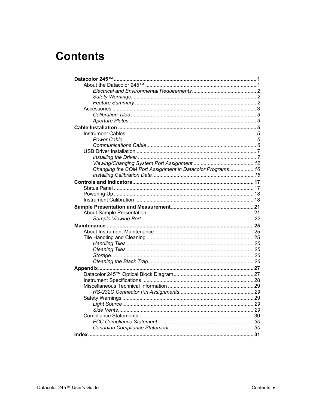## **Contents**

| Changing the COM Port Assignment in Datacolor Programs 16 |  |
|-----------------------------------------------------------|--|
|                                                           |  |
|                                                           |  |
|                                                           |  |
|                                                           |  |
|                                                           |  |
|                                                           |  |
|                                                           |  |
|                                                           |  |
|                                                           |  |
|                                                           |  |
|                                                           |  |
|                                                           |  |
|                                                           |  |
|                                                           |  |
|                                                           |  |
| Appendix                                                  |  |
|                                                           |  |
|                                                           |  |
|                                                           |  |
|                                                           |  |
|                                                           |  |
|                                                           |  |
|                                                           |  |
|                                                           |  |
|                                                           |  |
|                                                           |  |
|                                                           |  |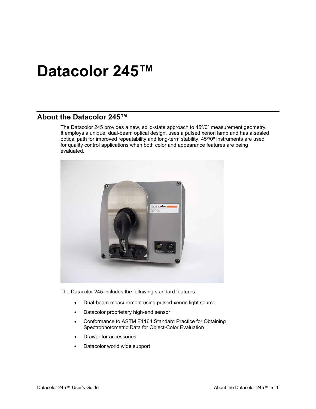## <span id="page-4-0"></span>**Datacolor 245™**

## <span id="page-4-1"></span>**About the Datacolor 245™**

The Datacolor 245 provides a new, solid-state approach to 45º/0º measurement geometry. It employs a unique, dual-beam optical design, uses a pulsed xenon lamp and has a sealed optical path for improved repeatability and long-term stability. 45º/0º instruments are used for quality control applications when both color and appearance features are being evaluated.



The Datacolor 245 includes the following standard features:

- Dual-beam measurement using pulsed xenon light source
- Datacolor proprietary high-end sensor
- Conformance to ASTM E1164 Standard Practice for Obtaining Spectrophotometric Data for Object-Color Evaluation
- Drawer for accessories
- Datacolor world wide support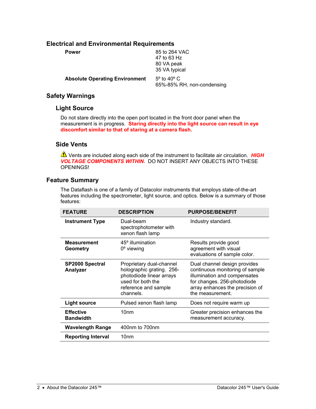#### <span id="page-5-0"></span>**Electrical and Environmental Requirements**

| <b>Power</b>                          | 85 to 264 VAC<br>47 to 63 Hz<br>80 VA peak<br>35 VA typical  |
|---------------------------------------|--------------------------------------------------------------|
| <b>Absolute Operating Environment</b> | $5^{\circ}$ to 40 $^{\circ}$ C<br>65%-85% RH, non-condensing |

## <span id="page-5-1"></span>**Safety Warnings**

#### **Light Source**

Do not stare directly into the open port located in the front door panel when the measurement is in progress. **Staring directly into the light source can result in eye discomfort similar to that of staring at a camera flash.** 

## **Side Vents**

 Vents are included along each side of the instrument to facilitate air circulation. *HIGH VOLTAGE COMPONENTS WITHIN.* DO NOT INSERT ANY OBJECTS INTO THESE OPENINGS!

#### <span id="page-5-2"></span>**Feature Summary**

The Dataflash is one of a family of Datacolor instruments that employs state-of-the-art features including the spectrometer, light source, and optics. Below is a summary of those features:

| <b>DESCRIPTION</b><br><b>FEATURE</b>                     |                                                                                                                                             | <b>PURPOSE/BENEFIT</b>                                                                                                                                                                |  |  |  |
|----------------------------------------------------------|---------------------------------------------------------------------------------------------------------------------------------------------|---------------------------------------------------------------------------------------------------------------------------------------------------------------------------------------|--|--|--|
| <b>Instrument Type</b>                                   | Dual-beam<br>spectrophotometer with<br>xenon flash lamp                                                                                     | Industry standard.                                                                                                                                                                    |  |  |  |
| <b>Measurement</b><br>Geometry                           | 45 <sup>°</sup> illumination<br>$0^{\circ}$ viewing                                                                                         | Results provide good<br>agreement with visual<br>evaluations of sample color.                                                                                                         |  |  |  |
| <b>SP2000 Spectral</b><br>Analyzer                       | Proprietary dual-channel<br>holographic grating. 256-<br>photodiode linear arrays<br>used for both the<br>reference and sample<br>channels. | Dual channel design provides<br>continuous monitoring of sample<br>illumination and compensates<br>for changes. 256-photodiode<br>array enhances the precision of<br>the measurement. |  |  |  |
| <b>Light source</b>                                      | Pulsed xenon flash lamp                                                                                                                     | Does not require warm up                                                                                                                                                              |  |  |  |
| <b>Effective</b><br>10 <sub>nm</sub><br><b>Bandwidth</b> |                                                                                                                                             | Greater precision enhances the<br>measurement accuracy.                                                                                                                               |  |  |  |
| <b>Wavelength Range</b>                                  | 400nm to 700nm                                                                                                                              |                                                                                                                                                                                       |  |  |  |
| <b>Reporting Interval</b>                                | 10nm                                                                                                                                        |                                                                                                                                                                                       |  |  |  |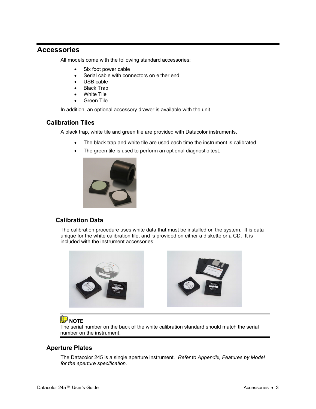## <span id="page-6-0"></span>**Accessories**

All models come with the following standard accessories:

- Six foot power cable
- Serial cable with connectors on either end
- USB cable
- Black Trap
- White Tile
- Green Tile

In addition, an optional accessory drawer is available with the unit.

## <span id="page-6-1"></span>**Calibration Tiles**

A black trap, white tile and green tile are provided with Datacolor instruments.

- The black trap and white tile are used each time the instrument is calibrated.
- The green tile is used to perform an optional diagnostic test.



### **Calibration Data**

The calibration procedure uses white data that must be installed on the system. It is data unique for the white calibration tile, and is provided on either a diskette or a CD. It is included with the instrument accessories:





## **ED** NOTE

The serial number on the back of the white calibration standard should match the serial number on the instrument.

### <span id="page-6-2"></span>**Aperture Plates**

The Datacolor 245 is a single aperture instrument. *Refer to Appendix, Features by Model for the aperture specification.*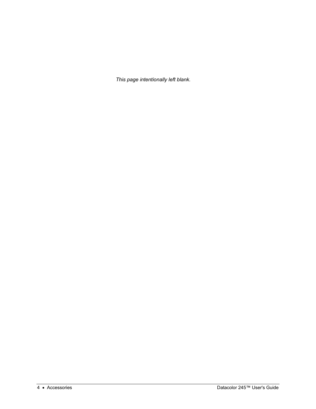*This page intentionally left blank.*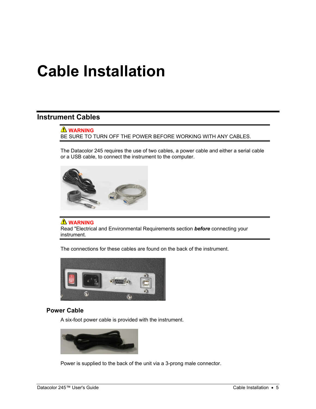# <span id="page-8-0"></span>**Cable Installation**

## <span id="page-8-1"></span>**Instrument Cables**

#### **WARNING**

BE SURE TO TURN OFF THE POWER BEFORE WORKING WITH ANY CABLES.

The Datacolor 245 requires the use of two cables, a power cable and either a serial cable or a USB cable, to connect the instrument to the computer.



#### **WARNING**

Read "Electrical and Environmental Requirements section *before* connecting your instrument.

The connections for these cables are found on the back of the instrument.



## <span id="page-8-2"></span>**Power Cable**

A six-foot power cable is provided with the instrument.



Power is supplied to the back of the unit via a 3-prong male connector.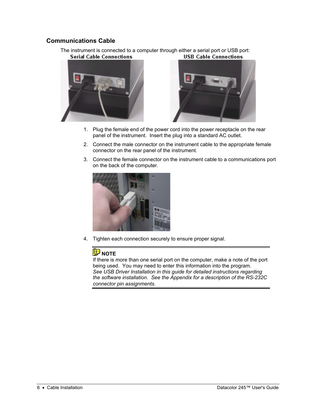## <span id="page-9-0"></span>**Communications Cable**

The instrument is connected to a computer through either a serial port or USB port: **Serial Cable Connections USB Cable Connections** 





- 1. Plug the female end of the power cord into the power receptacle on the rear panel of the instrument. Insert the plug into a standard AC outlet.
- 2. Connect the male connector on the instrument cable to the appropriate female connector on the rear panel of the instrument.
- 3. Connect the female connector on the instrument cable to a communications port on the back of the computer.



4. Tighten each connection securely to ensure proper signal.

## **D** NOTE

If there is more than one serial port on the computer, make a note of the port being used. You may need to enter this information into the program. *See USB Driver Installation in this guide for detailed instructions regarding the software installation. See the Appendix for a description of the RS-232C connector pin assignments.*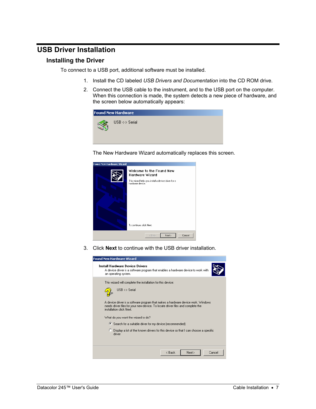## <span id="page-10-0"></span>**USB Driver Installation**

### <span id="page-10-1"></span>**Installing the Driver**

To connect to a USB port, additional software must be installed.

- 1. Install the CD labeled *USB Drivers and Documentation* into the CD ROM drive.
- 2. Connect the USB cable to the instrument, and to the USB port on the computer. When this connection is made, the system detects a new piece of hardware, and the screen below automatically appears:



The New Hardware Wizard automatically replaces this screen.



3. Click **Next** to continue with the USB driver installation.

| <b>Found New Hardware Wizard</b>                                                                                                                                                                |
|-------------------------------------------------------------------------------------------------------------------------------------------------------------------------------------------------|
| <b>Install Hardware Device Drivers</b><br>A device driver is a software program that enables a hardware device to work with<br>an operating system.                                             |
| This wizard will complete the installation for this device:                                                                                                                                     |
| $USB \leftrightarrow S$ erial                                                                                                                                                                   |
| A device driver is a software program that makes a hardware device work. Windows<br>needs driver files for your new device. To locate driver files and complete the<br>installation click Next. |
| What do you want the wizard to do?                                                                                                                                                              |
| ○ Search for a suitable driver for my device (recommended)                                                                                                                                      |
| C Display a list of the known drivers for this device so that I can choose a specific<br>driver                                                                                                 |
|                                                                                                                                                                                                 |
| Next ><br>Cancel<br>< Back                                                                                                                                                                      |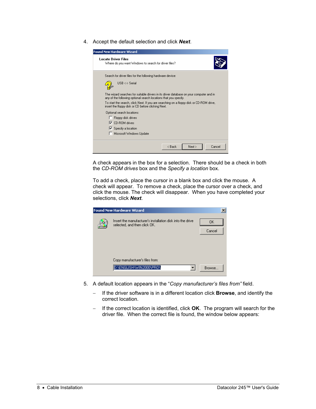4. Accept the default selection and click *Next*.



A check appears in the box for a selection. There should be a check in both the *CD-ROM drives* box and the *Specify a location* box.

To add a check, place the cursor in a blank box and click the mouse. A check will appear. To remove a check, place the cursor over a check, and click the mouse. The check will disappear. When you have completed your selections, click *Next*.

| <b>Found New Hardware Wizard</b>                                                           | ×                   |
|--------------------------------------------------------------------------------------------|---------------------|
| Insert the manufacturer's installation disk into the drive<br>selected, and then click OK. | <b>OK</b><br>Cancel |
| Copy manufacturer's files from:<br>D:\ENGLISH\WIN2000\PRO\                                 | Browse              |

- 5. A default location appears in the "*Copy manufacturer's files from"* field.
	- − If the driver software is in a different location click **Browse**, and identify the correct location.
	- − If the correct location is identified, click **OK**. The program will search for the driver file. When the correct file is found, the window below appears: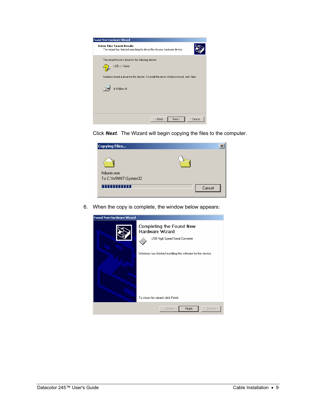

Click *Next*. The Wizard will begin copying the files to the computer.

| <b>Copying Files</b>                 |        |
|--------------------------------------|--------|
|                                      |        |
| ftdiunin.exe<br>To C:\WINNT\System32 |        |
| 1111111<br>ı                         | Cancel |

6. When the copy is complete, the window below appears:

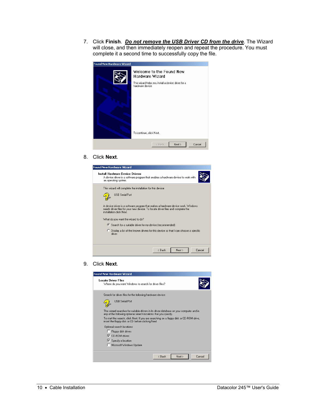7. Click **Finish**. *Do not remove the USB Driver CD from the drive*. The Wizard will close, and then immediately reopen and repeat the procedure. You must complete it a second time to successfully copy the file.

| Found New Hardware Wizard |                                                                                                                                                    |
|---------------------------|----------------------------------------------------------------------------------------------------------------------------------------------------|
|                           | Welcome to the Found New<br>Hardware Wizard<br>This wizard helps you install a device driver for a<br>hardware device.<br>To continue, click Next. |
|                           | Next ><br>Cancel<br>< Back                                                                                                                         |

8. Click **Next**.

| <b>Found New Hardware Wizard</b>                                                                                                                                                                |
|-------------------------------------------------------------------------------------------------------------------------------------------------------------------------------------------------|
| Install Hardware Device Drivers<br>A device driver is a software program that enables a hardware device to work with<br>an operating system.                                                    |
| This wizard will complete the installation for this device:                                                                                                                                     |
| <b>HSB Serial Port</b>                                                                                                                                                                          |
| A device driver is a software program that makes a hardware device work. Windows<br>needs driver files for your new device. To locate driver files and complete the<br>installation click Next. |
| What do you want the wizard to do?                                                                                                                                                              |
| ● Search for a suitable driver for my device (recommended)                                                                                                                                      |
| C Display a list of the known drivers for this device so that I can choose a specific<br>driver                                                                                                 |
|                                                                                                                                                                                                 |
| Cancel<br>$\langle$ Back<br>Next >                                                                                                                                                              |

9. Click **Next**.

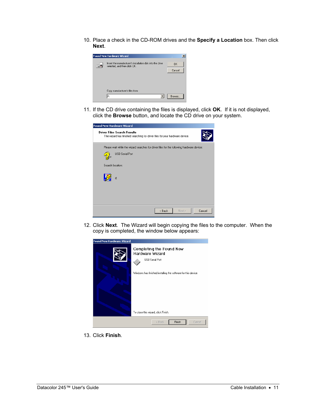10. Place a check in the CD-ROM drives and the **Specify a Location** box. Then click **Next**.



11. If the CD drive containing the files is displayed, click **OK**. If it is not displayed, click the **Browse** button, and locate the CD drive on your system.

| <b>Found New Hardware Wizard</b>                                                                                   |
|--------------------------------------------------------------------------------------------------------------------|
| <b>Driver Files Search Results</b><br>The wizard has finished searching for driver files for your hardware device. |
| Please wait while the wizard searches for driver files for the following hardware device:                          |
| <b>USB Serial Port</b>                                                                                             |
| Search location:                                                                                                   |
| d:                                                                                                                 |
|                                                                                                                    |
| Cancel<br>< Back<br>Next >                                                                                         |

12. Click **Next**. The Wizard will begin copying the files to the computer. When the copy is completed, the window below appears:



13. Click **Finish**.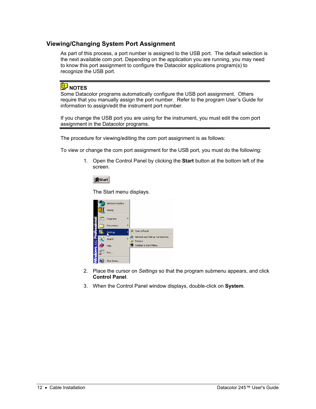## <span id="page-15-0"></span>**Viewing/Changing System Port Assignment**

As part of this process, a port number is assigned to the USB port. The default selection is the next available com port. Depending on the application you are running, you may need to know this port assignment to configure the Datacolor applications program(s) to recognize the USB port.

## **D** NOTES

Some Datacolor programs automatically configure the USB port assignment. Others require that you manually assign the port number. Refer to the program User's Guide for information to assign/edit the instrument port number.

If you change the USB port you are using for the instrument, you must edit the com port assignment in the Datacolor programs.

The procedure for viewing/editing the com port assignment is as follows:

To view or change the com port assignment for the USB port, you must do the following:

1. Open the Control Panel by clicking the **Start** button at the bottom left of the screen.



The Start menu displays.

|                   |       | Windows Update |              |                                             |
|-------------------|-------|----------------|--------------|---------------------------------------------|
|                   |       | WinZip         |              |                                             |
|                   | 984   | Programs       |              |                                             |
|                   |       | Documents      |              |                                             |
|                   |       | Settings       | $\mathbf{v}$ | Control Panel                               |
| <b>DAd 000 SA</b> |       | Search         | ш            | Network and Dial-up Connections<br>Printers |
|                   |       | Help           |              | Taskbar & Start Menu                        |
| ę                 | ज़ूरू | Run            |              |                                             |
|                   |       | Shut Down      |              |                                             |

- 2. Place the cursor on *Settings* so that the program submenu appears, and click **Control Panel**.
- 3. When the Control Panel window displays, double-click on **System**.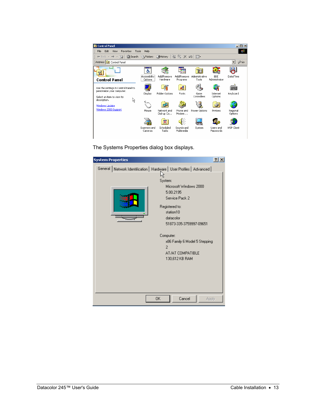| <b>Ex</b> Control Panel                                                                                                                                         |                                             |                                                                        |                                                               |                                                |                                                                  | $ \Box$ $\times$                                      |
|-----------------------------------------------------------------------------------------------------------------------------------------------------------------|---------------------------------------------|------------------------------------------------------------------------|---------------------------------------------------------------|------------------------------------------------|------------------------------------------------------------------|-------------------------------------------------------|
| <b>Favorites</b><br>Tools<br>File<br>Edit<br>View                                                                                                               | Help                                        |                                                                        |                                                               |                                                |                                                                  |                                                       |
| ← Back → → → 在   © Search L Folders 《History                                                                                                                    |                                             |                                                                        |                                                               |                                                |                                                                  |                                                       |
| Address <b><u>ov</u></b> Control Panel                                                                                                                          |                                             |                                                                        |                                                               |                                                |                                                                  | ⊘Go                                                   |
| ń                                                                                                                                                               | Ġ.                                          |                                                                        |                                                               |                                                |                                                                  | 112                                                   |
| <b>Control Panel</b>                                                                                                                                            | Accessibility<br>Options                    | Add/Remove<br>Hardware                                                 | Add/Remove<br>Programs                                        | Administrative<br>Tools                        | <b>BDE</b><br>Administrator                                      | Date/Time                                             |
| Use the settings in Control Panel to<br>personalize your computer.<br>Select an item to view its<br>ば<br>description.<br>Windows Update<br>Windows 2000 Support | Display<br>Mouse<br>Scanners and<br>Cameras | Folder Options<br>Network and<br>Dial-up Co<br>ō<br>Scheduled<br>Tasks | ۷ł<br>Fonts<br>Phone and<br>Modem<br>Sounds and<br>Multimedia | Game<br>Controllers<br>Power Options<br>System | Internet<br>Options<br>Printers<br><b>Users and</b><br>Passwords | شبیہ<br>Keyboard<br>Regional<br>Options<br>WSP Client |

The Systems Properties dialog box displays.

| <b>System Properties</b> | 2 X                                                                                                                                           |
|--------------------------|-----------------------------------------------------------------------------------------------------------------------------------------------|
|                          | General Network Identification   Hardware   User Profiles   Advanced                                                                          |
|                          | μζ<br>System:<br>Microsoft Windows 2000<br>5.00.2195<br>Service Pack 2<br>Registered to:<br>station10<br>datacolor<br>51873-335-3759997-09651 |
|                          | Computer:<br>x86 Family 6 Model 5 Stepping<br>2<br>AT/AT COMPATIBLE<br>130,612 KB RAM                                                         |
|                          | 0K<br>Cancel<br>Apply                                                                                                                         |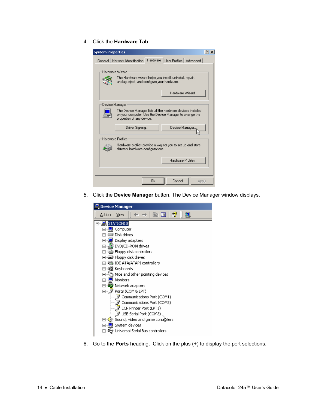4. Click the **Hardware Tab**.



5. Click the **Device Manager** button. The Device Manager window displays.

|                                                                  | <b>Device Manager</b>                                                                                                                                                                                                                                                                                                                                                                                                                                                                                                                                       |
|------------------------------------------------------------------|-------------------------------------------------------------------------------------------------------------------------------------------------------------------------------------------------------------------------------------------------------------------------------------------------------------------------------------------------------------------------------------------------------------------------------------------------------------------------------------------------------------------------------------------------------------|
| Action                                                           | ■ 国   【 】<br>View                                                                                                                                                                                                                                                                                                                                                                                                                                                                                                                                           |
| STATION10<br>$\overline{\mathbf{H}}$<br>ஈ<br>ŧ<br>$\overline{+}$ | · <mark>里</mark> Computer<br>$\blacksquare$ Disk drives<br>画…↓ Display adapters<br>…그나 DVD/CD-ROM drives<br>⊡ Floppy disk drives<br>⊡ 日 IDE ATA/ATAPI controllers<br>由 磴雲 Keyboards<br>中心】 Mice and other pointing devices<br>⊡… <mark>및</mark> Monitors<br>田 ■ Network adapters<br>白… <mark>ツ</mark> Ports (COM & LPT)<br>$\mathcal{F}$ Communications Port (COM1)<br>Gommunications Port (COM2)<br>FCP Printer Port (LPT1)<br>y USB Serial Port (COM3)<br>∙∯{ Sound, video and game conk\ollers<br>由 _ System devices<br>Universal Serial Bus controllers |

6. Go to the **Ports** heading. Click on the plus (+) to display the port selections.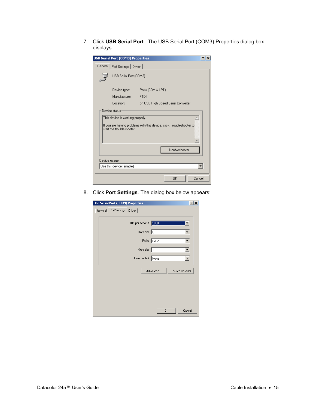7. Click **USB Serial Port**. The USB Serial Port (COM3) Properties dialog box displays.

| USB Serial Port (COM3) Properties                                                                                                                                                                    |                        |                                    | $\overline{2}$<br>$\times$ |  |
|------------------------------------------------------------------------------------------------------------------------------------------------------------------------------------------------------|------------------------|------------------------------------|----------------------------|--|
| General   Port Settings   Driver                                                                                                                                                                     |                        |                                    |                            |  |
|                                                                                                                                                                                                      | USB Serial Port (COM3) |                                    |                            |  |
|                                                                                                                                                                                                      | Device type:           | Ports (COM & LPT)                  |                            |  |
|                                                                                                                                                                                                      | Manufacturer:          | <b>FTDI</b>                        |                            |  |
|                                                                                                                                                                                                      | Location:              | on USB High Speed Serial Converter |                            |  |
| Device status<br>This device is working properly.<br>If you are having problems with this device, click Troubleshooter to<br>start the troubleshooter.<br>$\overline{\phantom{a}}$<br>Troubleshooter |                        |                                    |                            |  |
| Device usage:                                                                                                                                                                                        |                        |                                    |                            |  |
| Use this device (enable)                                                                                                                                                                             |                        |                                    |                            |  |
|                                                                                                                                                                                                      |                        | <b>OK</b><br>Cancel                |                            |  |

8. Click **Port Settings**. The dialog box below appears:

| 2x<br><b>USB Serial Port (COM3) Properties</b> |
|------------------------------------------------|
| General Port Settings Driver                   |
|                                                |
| Bits per second: 9600                          |
| Data bits: 8<br>▼                              |
| Parity: None<br>▾                              |
| Stop bits: 1<br>▼                              |
| Flow control: None                             |
| Advanced<br>Restore Defaults                   |
|                                                |
|                                                |
|                                                |
|                                                |
| 0K<br>Cancel                                   |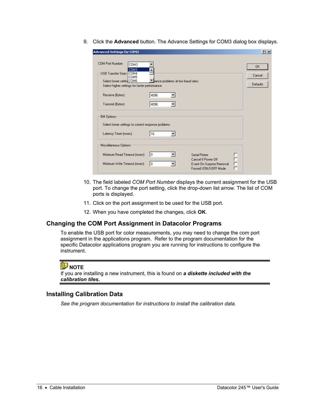9. Click the **Advanced** button. The Advance Settings for COM3 dialog box displays.

| <b>Advanced Settings for COM3</b>                                                                                                                        |                                                                                                                               | ? X                      |
|----------------------------------------------------------------------------------------------------------------------------------------------------------|-------------------------------------------------------------------------------------------------------------------------------|--------------------------|
| <b>COM Port Number:</b><br>COM3<br>COM3<br>USB Transfer Sizes COM4<br>COM5<br>Select lower settin COM6<br>Select higher settings for faster performance. | $\Sigma$ hance problems at low baud rates.                                                                                    | 0K<br>Cancel<br>Defaults |
| Receive (Bytes):<br>Transmit (Bytes):                                                                                                                    | 4096<br>4096                                                                                                                  |                          |
| BM Options<br>Select lower settings to correct response problems.                                                                                        |                                                                                                                               |                          |
| Latency Timer (msec):                                                                                                                                    | 16                                                                                                                            |                          |
| Miscellaneous Options:                                                                                                                                   |                                                                                                                               |                          |
| Minimum Read Timeout (msec):<br>Minimum Write Timeout (msec):                                                                                            | I٥<br><b>Serial Printer</b><br>Н<br>Cancel If Power Off<br>п<br>lo.<br>Event On Surprise Removal<br>Forced XON/XOFF Mode<br>┍ |                          |

- 10. The field labeled *COM Port Number* displays the current assignment for the USB port. To change the port setting, click the drop-down list arrow. The list of COM ports is displayed.
- 11. Click on the port assignment to be used for the USB port.
- 12. When you have completed the changes, click **OK**.

#### <span id="page-19-0"></span>**Changing the COM Port Assignment in Datacolor Programs**

To enable the USB port for color measurements, you may need to change the com port assignment in the applications program. Refer to the program documentation for the specific Datacolor applications program you are running for instructions to configure the instrument.

## **ED** NOTE

If you are installing a new instrument, this is found on *a diskette included with the calibration tiles.* 

#### <span id="page-19-1"></span>**Installing Calibration Data**

*See the program documentation for instructions to install the calibration data.*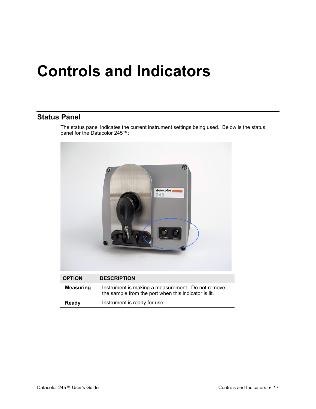# <span id="page-20-0"></span>**Controls and Indicators**

## <span id="page-20-1"></span>**Status Panel**

The status panel indicates the current instrument settings being used. Below is the status panel for the Datacolor 245™:

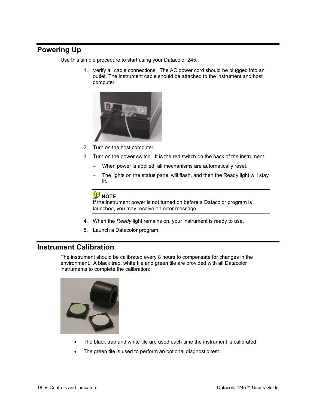## <span id="page-21-0"></span>**Powering Up**

Use this simple procedure to start using your Datacolor 245.

1. Verify all cable connections. The AC power cord should be plugged into an outlet. The instrument cable should be attached to the instrument and host computer.



- 2. Turn on the host computer.
- 3. Turn on the power switch. It is the red switch on the back of the instrument.
	- − When power is applied, all mechanisms are automatically reset.
	- − The lights on the status panel will flash, and then the Ready light will stay lit.

## **D** NOTE

If the instrument power is not turned on before a Datacolor program is launched, you may receive an error message.

- 4. When the *Ready* light remains on, your instrument is ready to use.
- 5. Launch a Datacolor program.

## <span id="page-21-1"></span>**Instrument Calibration**

The instrument should be calibrated every 8 hours to compensate for changes in the environment. A black trap, white tile and green tile are provided with all Datacolor instruments to complete the calibration:



- The black trap and white tile are used each time the instrument is calibrated.
- The green tile is used to perform an optional diagnostic test.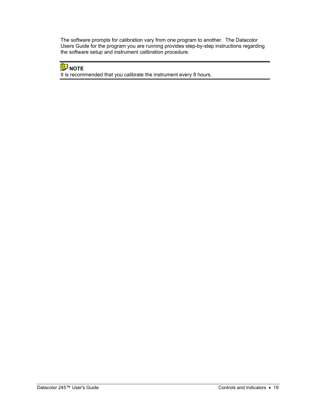The software prompts for calibration vary from one program to another. The Datacolor Users Guide for the program you are running provides step-by-step instructions regarding the software setup and instrument calibration procedure.

## **D** NOTE

It is recommended that you calibrate the instrument every 8 hours.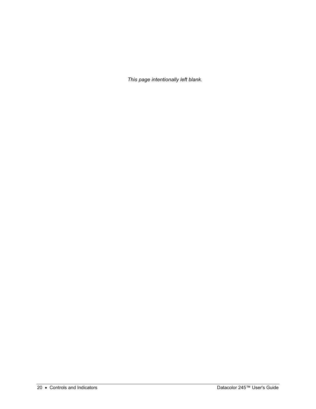*This page intentionally left blank.*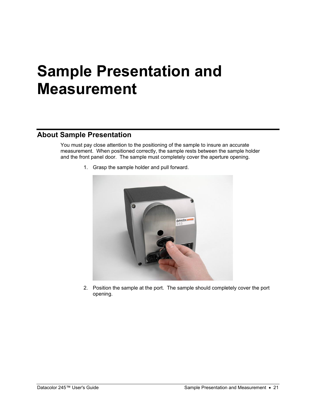# <span id="page-24-0"></span>**Sample Presentation and Measurement**

## <span id="page-24-1"></span>**About Sample Presentation**

You must pay close attention to the positioning of the sample to insure an accurate measurement. When positioned correctly, the sample rests between the sample holder and the front panel door. The sample must completely cover the aperture opening.

1. Grasp the sample holder and pull forward.



2. Position the sample at the port. The sample should completely cover the port opening.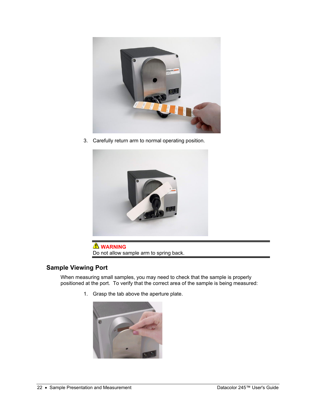

3. Carefully return arm to normal operating position.



**WARNING** Do not allow sample arm to spring back.

## <span id="page-25-0"></span>**Sample Viewing Port**

When measuring small samples, you may need to check that the sample is properly positioned at the port. To verify that the correct area of the sample is being measured:

1. Grasp the tab above the aperture plate.

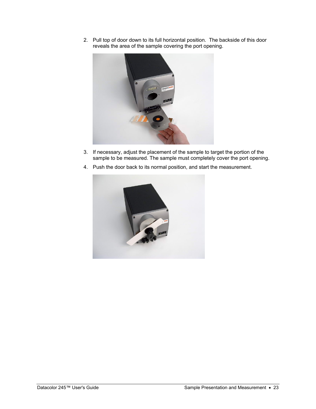2. Pull top of door down to its full horizontal position. The backside of this door reveals the area of the sample covering the port opening.



- 3. If necessary, adjust the placement of the sample to target the portion of the sample to be measured. The sample must completely cover the port opening.
- 4. Push the door back to its normal position, and start the measurement.

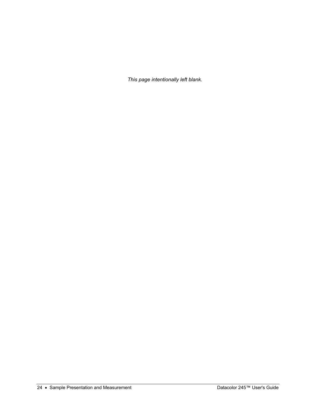*This page intentionally left blank.*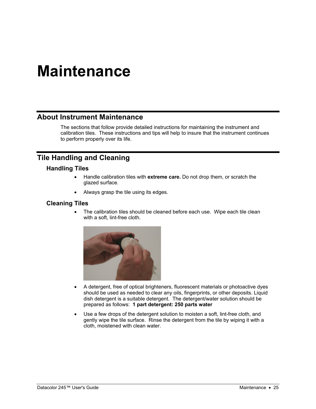## <span id="page-28-0"></span>**Maintenance**

## <span id="page-28-1"></span>**About Instrument Maintenance**

The sections that follow provide detailed instructions for maintaining the instrument and calibration tiles. These instructions and tips will help to insure that the instrument continues to perform properly over its life.

## <span id="page-28-2"></span>**Tile Handling and Cleaning**

#### <span id="page-28-3"></span>**Handling Tiles**

- Handle calibration tiles with **extreme care.** Do not drop them, or scratch the glazed surface.
- Always grasp the tile using its edges.

#### <span id="page-28-4"></span>**Cleaning Tiles**

The calibration tiles should be cleaned before each use. Wipe each tile clean with a soft, lint-free cloth.



- A detergent, free of optical brighteners, fluorescent materials or photoactive dyes should be used as needed to clear any oils, fingerprints, or other deposits. Liquid dish detergent is a suitable detergent. The detergent/water solution should be prepared as follows: **1 part detergent: 250 parts water**
- Use a few drops of the detergent solution to moisten a soft, lint-free cloth, and gently wipe the tile surface. Rinse the detergent from the tile by wiping it with a cloth, moistened with clean water.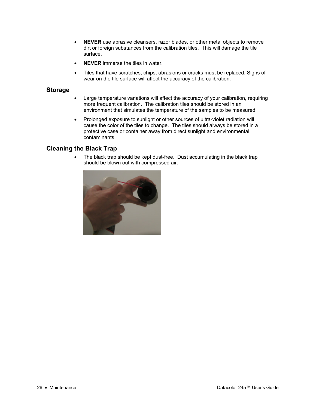- **NEVER** use abrasive cleansers, razor blades, or other metal objects to remove dirt or foreign substances from the calibration tiles. This will damage the tile surface.
- **NEVER** immerse the tiles in water.
- Tiles that have scratches, chips, abrasions or cracks must be replaced. Signs of wear on the tile surface will affect the accuracy of the calibration.

#### <span id="page-29-0"></span>**Storage**

- Large temperature variations will affect the accuracy of your calibration, requiring more frequent calibration. The calibration tiles should be stored in an environment that simulates the temperature of the samples to be measured.
- Prolonged exposure to sunlight or other sources of ultra-violet radiation will cause the color of the tiles to change. The tiles should always be stored in a protective case or container away from direct sunlight and environmental contaminants.

#### <span id="page-29-1"></span>**Cleaning the Black Trap**

The black trap should be kept dust-free. Dust accumulating in the black trap should be blown out with compressed air.

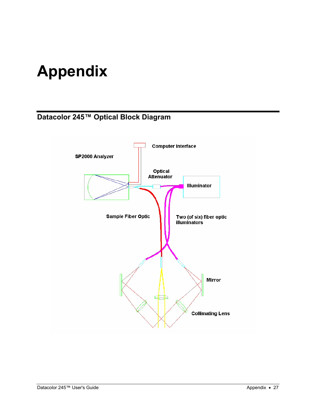# <span id="page-30-0"></span>**Appendix**

## <span id="page-30-1"></span>**Datacolor 245™ Optical Block Diagram**

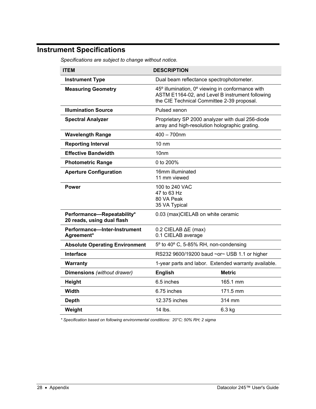## <span id="page-31-0"></span>**Instrument Specifications**

| <b>ITEM</b>                                              | <b>DESCRIPTION</b>                                                                                                                                |                                                      |
|----------------------------------------------------------|---------------------------------------------------------------------------------------------------------------------------------------------------|------------------------------------------------------|
| <b>Instrument Type</b>                                   | Dual beam reflectance spectrophotometer.                                                                                                          |                                                      |
| <b>Measuring Geometry</b>                                | 45° illumination, 0° viewing in conformance with<br>ASTM E1164-02, and Level B instrument following<br>the CIE Technical Committee 2-39 proposal. |                                                      |
| <b>Illumination Source</b>                               | Pulsed xenon                                                                                                                                      |                                                      |
| <b>Spectral Analyzer</b>                                 | Proprietary SP 2000 analyzer with dual 256-diode<br>array and high-resolution holographic grating.                                                |                                                      |
| <b>Wavelength Range</b>                                  | $400 - 700$ nm                                                                                                                                    |                                                      |
| <b>Reporting Interval</b>                                | $10 \text{ nm}$                                                                                                                                   |                                                      |
| <b>Effective Bandwidth</b>                               | 10 <sub>nm</sub>                                                                                                                                  |                                                      |
| <b>Photometric Range</b>                                 | 0 to 200%                                                                                                                                         |                                                      |
| <b>Aperture Configuration</b>                            | 16mm illuminated<br>11 mm viewed                                                                                                                  |                                                      |
| <b>Power</b>                                             | 100 to 240 VAC<br>47 to 63 Hz<br>80 VA Peak<br>35 VA Typical                                                                                      |                                                      |
| Performance-Repeatability*<br>20 reads, using dual flash | 0.03 (max)CIELAB on white ceramic                                                                                                                 |                                                      |
| Performance-Inter-Instrument<br>Agreement*               | $0.2$ CIELAB $\Delta E$ (max)<br>0.1 CIELAB average                                                                                               |                                                      |
| <b>Absolute Operating Environment</b>                    | 5° to 40° C, 5-85% RH, non-condensing                                                                                                             |                                                      |
| Interface                                                | RS232 9600/19200 baud ~or~ USB 1.1 or higher                                                                                                      |                                                      |
| <b>Warranty</b>                                          |                                                                                                                                                   | 1-year parts and labor. Extended warranty available. |
| Dimensions (without drawer)                              | <b>English</b>                                                                                                                                    | <b>Metric</b>                                        |
| Height                                                   | 6.5 inches                                                                                                                                        | 165.1 mm                                             |
| Width                                                    | 6.75 inches                                                                                                                                       | 171.5 mm                                             |
| <b>Depth</b>                                             | 12.375 inches                                                                                                                                     | 314 mm                                               |
| Weight                                                   | 14 lbs.                                                                                                                                           | 6.3 kg                                               |

*Specifications are subject to change without notice.* 

*\* Specification based on following environmental conditions: 20°C; 50% RH; 2 sigma*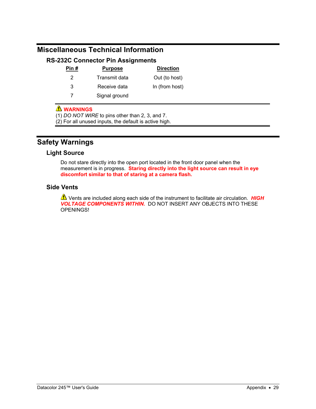## <span id="page-32-0"></span>**Miscellaneous Technical Information**

## <span id="page-32-1"></span>**RS-232C Connector Pin Assignments**

| Pin# | <b>Purpose</b> | <b>Direction</b> |
|------|----------------|------------------|
| 2    | Transmit data  | Out (to host)    |
| 3    | Receive data   | In (from host)   |
| 7    | Signal ground  |                  |

### **WARNINGS**

(1) *DO NOT WIRE* to pins other than 2, 3, and 7.

(2) For all unused inputs, the default is active high.

## <span id="page-32-2"></span>**Safety Warnings**

#### <span id="page-32-3"></span>**Light Source**

Do not stare directly into the open port located in the front door panel when the measurement is in progress. **Staring directly into the light source can result in eye discomfort similar to that of staring at a camera flash.** 

#### <span id="page-32-4"></span>**Side Vents**

 Vents are included along each side of the instrument to facilitate air circulation. *HIGH VOLTAGE COMPONENTS WITHIN.* DO NOT INSERT ANY OBJECTS INTO THESE OPENINGS!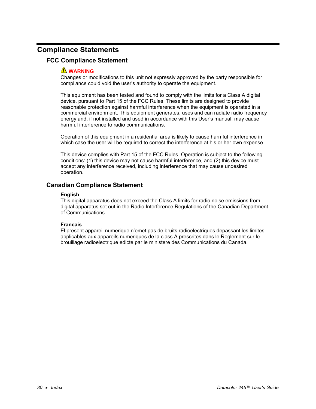## <span id="page-33-0"></span>**Compliance Statements**

### <span id="page-33-1"></span>**FCC Compliance Statement**

### **WARNING**

Changes or modifications to this unit not expressly approved by the party responsible for compliance could void the user's authority to operate the equipment.

This equipment has been tested and found to comply with the limits for a Class A digital device, pursuant to Part 15 of the FCC Rules. These limits are designed to provide reasonable protection against harmful interference when the equipment is operated in a commercial environment. This equipment generates, uses and can radiate radio frequency energy and, if not installed and used in accordance with this User's manual, may cause harmful interference to radio communications.

Operation of this equipment in a residential area is likely to cause harmful interference in which case the user will be required to correct the interference at his or her own expense.

This device complies with Part 15 of the FCC Rules. Operation is subject to the following conditions: (1) this device may not cause harmful interference, and (2) this device must accept any interference received, including interference that may cause undesired operation.

#### <span id="page-33-2"></span>**Canadian Compliance Statement**

#### **English**

This digital apparatus does not exceed the Class A limits for radio noise emissions from digital apparatus set out in the Radio Interference Regulations of the Canadian Department of Communications.

#### **Francais**

El present appareil numerique n'emet pas de bruits radioelectriques depassant les limites applicables aux appareils numeriques de la class A prescrites dans le Reglement sur le brouillage radioelectrique edicte par le ministere des Communications du Canada.